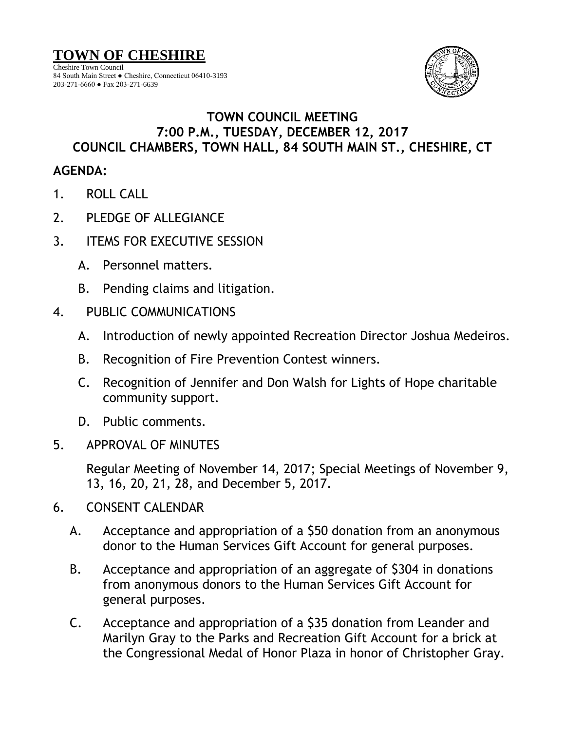Cheshire Town Council 84 South Main Street ● Cheshire, Connecticut 06410-3193 203-271-6660 ● Fax 203-271-6639



## **TOWN COUNCIL MEETING 7:00 P.M., TUESDAY, DECEMBER 12, 2017 COUNCIL CHAMBERS, TOWN HALL, 84 SOUTH MAIN ST., CHESHIRE, CT**

## **AGENDA:**

- 1. ROLL CALL
- 2. PLEDGE OF ALLEGIANCE
- 3. ITEMS FOR EXECUTIVE SESSION
	- A. Personnel matters.
	- B. Pending claims and litigation.
- 4. PUBLIC COMMUNICATIONS
	- A. Introduction of newly appointed Recreation Director Joshua Medeiros.
	- B. Recognition of Fire Prevention Contest winners.
	- C. Recognition of Jennifer and Don Walsh for Lights of Hope charitable community support.
	- D. Public comments.
- 5. APPROVAL OF MINUTES

Regular Meeting of November 14, 2017; Special Meetings of November 9, 13, 16, 20, 21, 28, and December 5, 2017.

- 6. CONSENT CALENDAR
	- A. Acceptance and appropriation of a \$50 donation from an anonymous donor to the Human Services Gift Account for general purposes.
	- B. Acceptance and appropriation of an aggregate of \$304 in donations from anonymous donors to the Human Services Gift Account for general purposes.
	- C. Acceptance and appropriation of a \$35 donation from Leander and Marilyn Gray to the Parks and Recreation Gift Account for a brick at the Congressional Medal of Honor Plaza in honor of Christopher Gray.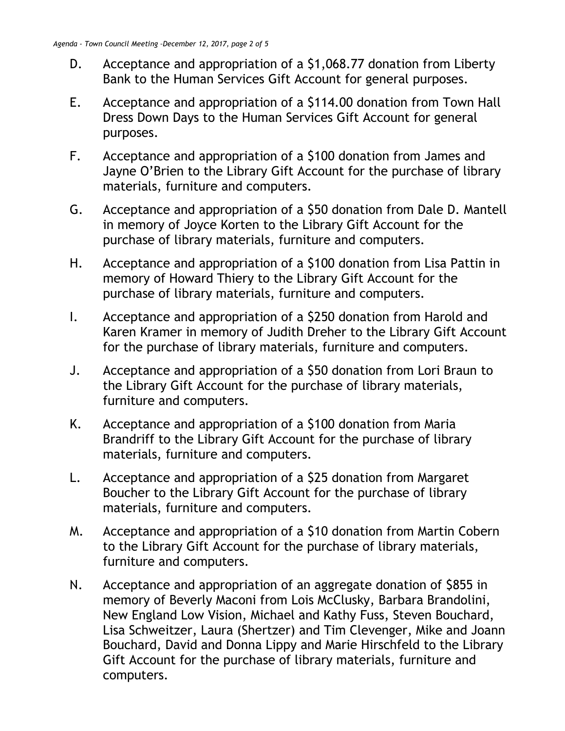- D. Acceptance and appropriation of a \$1,068.77 donation from Liberty Bank to the Human Services Gift Account for general purposes.
- E. Acceptance and appropriation of a \$114.00 donation from Town Hall Dress Down Days to the Human Services Gift Account for general purposes.
- F. Acceptance and appropriation of a \$100 donation from James and Jayne O'Brien to the Library Gift Account for the purchase of library materials, furniture and computers.
- G. Acceptance and appropriation of a \$50 donation from Dale D. Mantell in memory of Joyce Korten to the Library Gift Account for the purchase of library materials, furniture and computers.
- H. Acceptance and appropriation of a \$100 donation from Lisa Pattin in memory of Howard Thiery to the Library Gift Account for the purchase of library materials, furniture and computers.
- I. Acceptance and appropriation of a \$250 donation from Harold and Karen Kramer in memory of Judith Dreher to the Library Gift Account for the purchase of library materials, furniture and computers.
- J. Acceptance and appropriation of a \$50 donation from Lori Braun to the Library Gift Account for the purchase of library materials, furniture and computers.
- K. Acceptance and appropriation of a \$100 donation from Maria Brandriff to the Library Gift Account for the purchase of library materials, furniture and computers.
- L. Acceptance and appropriation of a \$25 donation from Margaret Boucher to the Library Gift Account for the purchase of library materials, furniture and computers.
- M. Acceptance and appropriation of a \$10 donation from Martin Cobern to the Library Gift Account for the purchase of library materials, furniture and computers.
- N. Acceptance and appropriation of an aggregate donation of \$855 in memory of Beverly Maconi from Lois McClusky, Barbara Brandolini, New England Low Vision, Michael and Kathy Fuss, Steven Bouchard, Lisa Schweitzer, Laura (Shertzer) and Tim Clevenger, Mike and Joann Bouchard, David and Donna Lippy and Marie Hirschfeld to the Library Gift Account for the purchase of library materials, furniture and computers.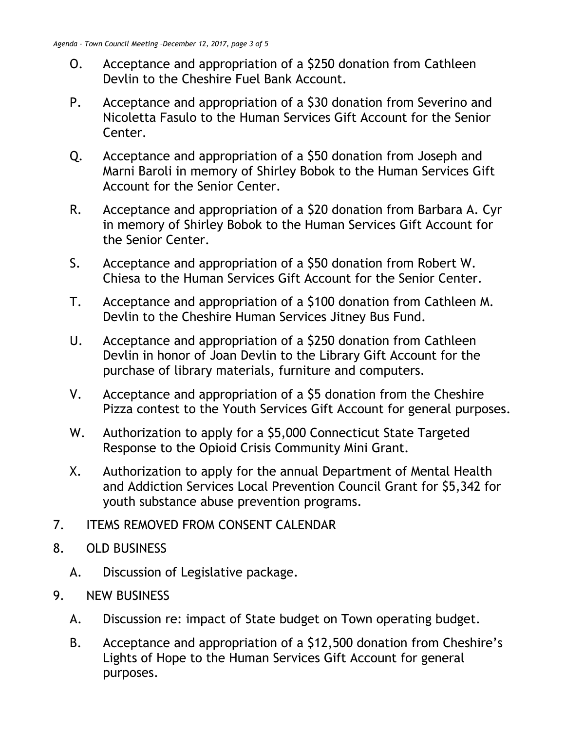- O. Acceptance and appropriation of a \$250 donation from Cathleen Devlin to the Cheshire Fuel Bank Account.
- P. Acceptance and appropriation of a \$30 donation from Severino and Nicoletta Fasulo to the Human Services Gift Account for the Senior Center.
- Q. Acceptance and appropriation of a \$50 donation from Joseph and Marni Baroli in memory of Shirley Bobok to the Human Services Gift Account for the Senior Center.
- R. Acceptance and appropriation of a \$20 donation from Barbara A. Cyr in memory of Shirley Bobok to the Human Services Gift Account for the Senior Center.
- S. Acceptance and appropriation of a \$50 donation from Robert W. Chiesa to the Human Services Gift Account for the Senior Center.
- T. Acceptance and appropriation of a \$100 donation from Cathleen M. Devlin to the Cheshire Human Services Jitney Bus Fund.
- U. Acceptance and appropriation of a \$250 donation from Cathleen Devlin in honor of Joan Devlin to the Library Gift Account for the purchase of library materials, furniture and computers.
- V. Acceptance and appropriation of a \$5 donation from the Cheshire Pizza contest to the Youth Services Gift Account for general purposes.
- W. Authorization to apply for a \$5,000 Connecticut State Targeted Response to the Opioid Crisis Community Mini Grant.
- X. Authorization to apply for the annual Department of Mental Health and Addiction Services Local Prevention Council Grant for \$5,342 for youth substance abuse prevention programs.
- 7. ITEMS REMOVED FROM CONSENT CALENDAR
- 8. OLD BUSINESS
	- A. Discussion of Legislative package.
- 9. NEW BUSINESS
	- A. Discussion re: impact of State budget on Town operating budget.
	- B. Acceptance and appropriation of a \$12,500 donation from Cheshire's Lights of Hope to the Human Services Gift Account for general purposes.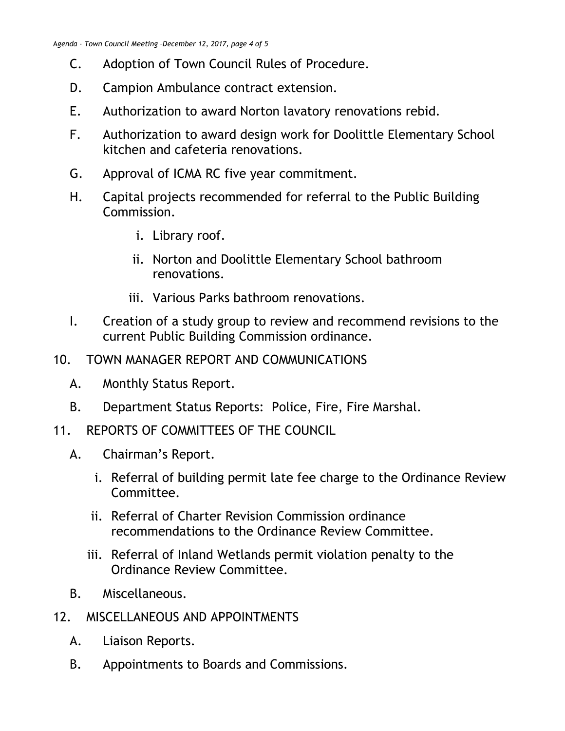- C. Adoption of Town Council Rules of Procedure.
- D. Campion Ambulance contract extension.
- E. Authorization to award Norton lavatory renovations rebid.
- F. Authorization to award design work for Doolittle Elementary School kitchen and cafeteria renovations.
- G. Approval of ICMA RC five year commitment.
- H. Capital projects recommended for referral to the Public Building Commission.
	- i. Library roof.
	- ii. Norton and Doolittle Elementary School bathroom renovations.
	- iii. Various Parks bathroom renovations.
- I. Creation of a study group to review and recommend revisions to the current Public Building Commission ordinance.
- 10. TOWN MANAGER REPORT AND COMMUNICATIONS
	- A. Monthly Status Report.
	- B. Department Status Reports: Police, Fire, Fire Marshal.
- 11. REPORTS OF COMMITTEES OF THE COUNCIL
	- A. Chairman's Report.
		- i. Referral of building permit late fee charge to the Ordinance Review Committee.
		- ii. Referral of Charter Revision Commission ordinance recommendations to the Ordinance Review Committee.
		- iii. Referral of Inland Wetlands permit violation penalty to the Ordinance Review Committee.
	- B. Miscellaneous.
- 12. MISCELLANEOUS AND APPOINTMENTS
	- A. Liaison Reports.
	- B. Appointments to Boards and Commissions.